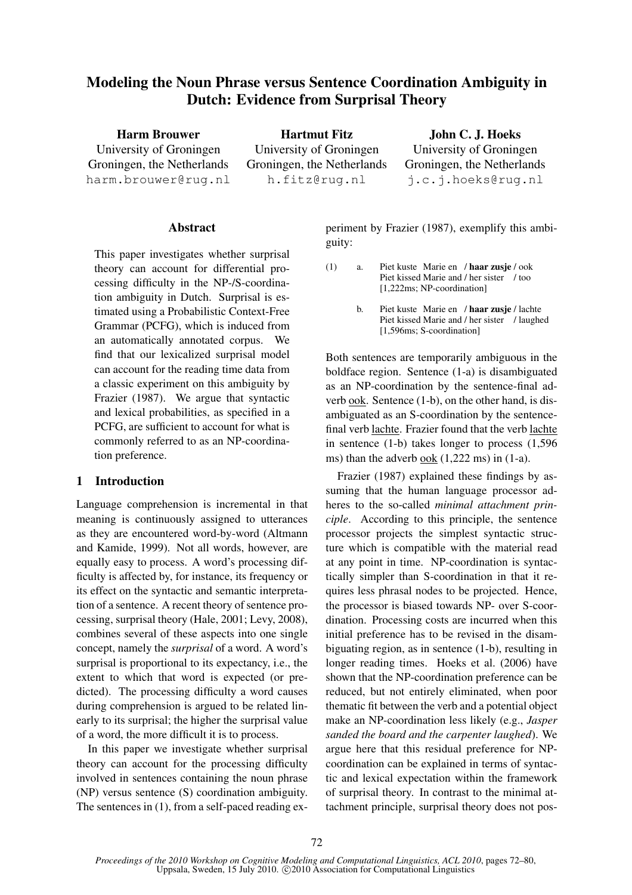# Modeling the Noun Phrase versus Sentence Coordination Ambiguity in Dutch: Evidence from Surprisal Theory

Harm Brouwer University of Groningen Groningen, the Netherlands harm.brouwer@rug.nl

Hartmut Fitz University of Groningen Groningen, the Netherlands h.fitz@rug.nl

John C. J. Hoeks University of Groningen Groningen, the Netherlands j.c.j.hoeks@rug.nl

## Abstract

This paper investigates whether surprisal theory can account for differential processing difficulty in the NP-/S-coordination ambiguity in Dutch. Surprisal is estimated using a Probabilistic Context-Free Grammar (PCFG), which is induced from an automatically annotated corpus. We find that our lexicalized surprisal model can account for the reading time data from a classic experiment on this ambiguity by Frazier (1987). We argue that syntactic and lexical probabilities, as specified in a PCFG, are sufficient to account for what is commonly referred to as an NP-coordination preference.

# 1 Introduction

Language comprehension is incremental in that meaning is continuously assigned to utterances as they are encountered word-by-word (Altmann and Kamide, 1999). Not all words, however, are equally easy to process. A word's processing difficulty is affected by, for instance, its frequency or its effect on the syntactic and semantic interpretation of a sentence. A recent theory of sentence processing, surprisal theory (Hale, 2001; Levy, 2008), combines several of these aspects into one single concept, namely the *surprisal* of a word. A word's surprisal is proportional to its expectancy, i.e., the extent to which that word is expected (or predicted). The processing difficulty a word causes during comprehension is argued to be related linearly to its surprisal; the higher the surprisal value of a word, the more difficult it is to process.

In this paper we investigate whether surprisal theory can account for the processing difficulty involved in sentences containing the noun phrase (NP) versus sentence (S) coordination ambiguity. The sentences in (1), from a self-paced reading ex-

periment by Frazier (1987), exemplify this ambiguity:

- (1) a. Piet kuste Marie en / haar zusje/ook Piet kissed Marie and / her sister / too [1,222ms; NP-coordination]
	- b. Piet kuste Marie en / haar zusje / lachte Piet kissed Marie and / her sister / laughed [1,596ms; S-coordination]

Both sentences are temporarily ambiguous in the boldface region. Sentence (1-a) is disambiguated as an NP-coordination by the sentence-final adverb ook. Sentence (1-b), on the other hand, is disambiguated as an S-coordination by the sentencefinal verb lachte. Frazier found that the verb lachte in sentence (1-b) takes longer to process (1,596 ms) than the adverb ook (1,222 ms) in (1-a).

Frazier (1987) explained these findings by assuming that the human language processor adheres to the so-called *minimal attachment principle*. According to this principle, the sentence processor projects the simplest syntactic structure which is compatible with the material read at any point in time. NP-coordination is syntactically simpler than S-coordination in that it requires less phrasal nodes to be projected. Hence, the processor is biased towards NP- over S-coordination. Processing costs are incurred when this initial preference has to be revised in the disambiguating region, as in sentence (1-b), resulting in longer reading times. Hoeks et al. (2006) have shown that the NP-coordination preference can be reduced, but not entirely eliminated, when poor thematic fit between the verb and a potential object make an NP-coordination less likely (e.g., *Jasper sanded the board and the carpenter laughed*). We argue here that this residual preference for NPcoordination can be explained in terms of syntactic and lexical expectation within the framework of surprisal theory. In contrast to the minimal attachment principle, surprisal theory does not pos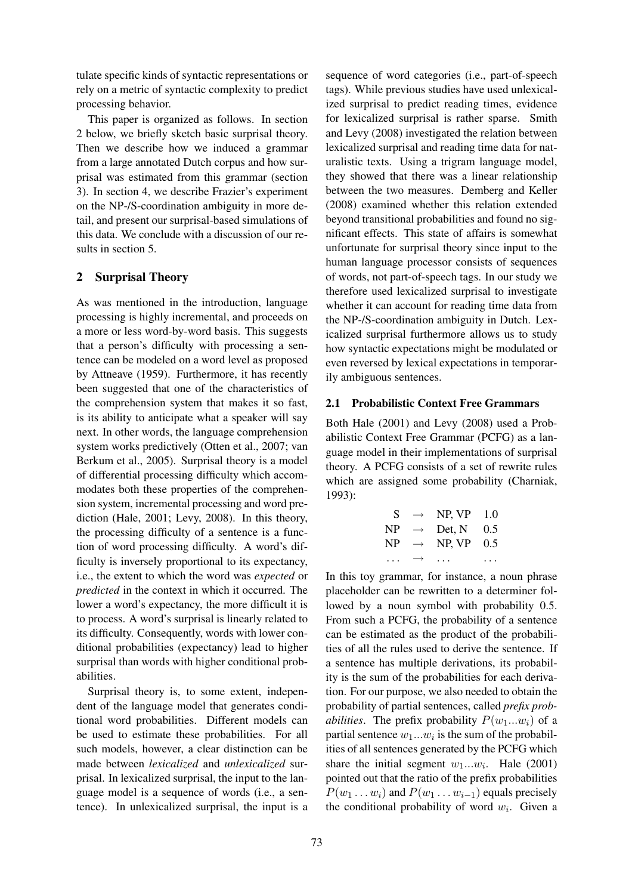tulate specific kinds of syntactic representations or rely on a metric of syntactic complexity to predict processing behavior.

This paper is organized as follows. In section 2 below, we briefly sketch basic surprisal theory. Then we describe how we induced a grammar from a large annotated Dutch corpus and how surprisal was estimated from this grammar (section 3). In section 4, we describe Frazier's experiment on the NP-/S-coordination ambiguity in more detail, and present our surprisal-based simulations of this data. We conclude with a discussion of our results in section 5.

# 2 Surprisal Theory

As was mentioned in the introduction, language processing is highly incremental, and proceeds on a more or less word-by-word basis. This suggests that a person's difficulty with processing a sentence can be modeled on a word level as proposed by Attneave (1959). Furthermore, it has recently been suggested that one of the characteristics of the comprehension system that makes it so fast, is its ability to anticipate what a speaker will say next. In other words, the language comprehension system works predictively (Otten et al., 2007; van Berkum et al., 2005). Surprisal theory is a model of differential processing difficulty which accommodates both these properties of the comprehension system, incremental processing and word prediction (Hale, 2001; Levy, 2008). In this theory, the processing difficulty of a sentence is a function of word processing difficulty. A word's difficulty is inversely proportional to its expectancy, i.e., the extent to which the word was *expected* or *predicted* in the context in which it occurred. The lower a word's expectancy, the more difficult it is to process. A word's surprisal is linearly related to its difficulty. Consequently, words with lower conditional probabilities (expectancy) lead to higher surprisal than words with higher conditional probabilities.

Surprisal theory is, to some extent, independent of the language model that generates conditional word probabilities. Different models can be used to estimate these probabilities. For all such models, however, a clear distinction can be made between *lexicalized* and *unlexicalized* surprisal. In lexicalized surprisal, the input to the language model is a sequence of words (i.e., a sentence). In unlexicalized surprisal, the input is a

sequence of word categories (i.e., part-of-speech tags). While previous studies have used unlexicalized surprisal to predict reading times, evidence for lexicalized surprisal is rather sparse. Smith and Levy (2008) investigated the relation between lexicalized surprisal and reading time data for naturalistic texts. Using a trigram language model, they showed that there was a linear relationship between the two measures. Demberg and Keller (2008) examined whether this relation extended beyond transitional probabilities and found no significant effects. This state of affairs is somewhat unfortunate for surprisal theory since input to the human language processor consists of sequences of words, not part-of-speech tags. In our study we therefore used lexicalized surprisal to investigate whether it can account for reading time data from the NP-/S-coordination ambiguity in Dutch. Lexicalized surprisal furthermore allows us to study how syntactic expectations might be modulated or even reversed by lexical expectations in temporarily ambiguous sentences.

## 2.1 Probabilistic Context Free Grammars

Both Hale (2001) and Levy (2008) used a Probabilistic Context Free Grammar (PCFG) as a language model in their implementations of surprisal theory. A PCFG consists of a set of rewrite rules which are assigned some probability (Charniak, 1993):

| S  | $\rightarrow$     | NP, VP | 1.0 |
|----|-------------------|--------|-----|
| NP | $\rightarrow$     | Det, N | 0.5 |
| NP | $\rightarrow$     | NP, VP | 0.5 |
| .  | $\longrightarrow$ | .      |     |

In this toy grammar, for instance, a noun phrase placeholder can be rewritten to a determiner followed by a noun symbol with probability 0.5. From such a PCFG, the probability of a sentence can be estimated as the product of the probabilities of all the rules used to derive the sentence. If a sentence has multiple derivations, its probability is the sum of the probabilities for each derivation. For our purpose, we also needed to obtain the probability of partial sentences, called *prefix probabilities*. The prefix probability  $P(w_1...w_i)$  of a partial sentence  $w_1...w_i$  is the sum of the probabilities of all sentences generated by the PCFG which share the initial segment  $w_1...w_i$ . Hale (2001) pointed out that the ratio of the prefix probabilities  $P(w_1 \ldots w_i)$  and  $P(w_1 \ldots w_{i-1})$  equals precisely the conditional probability of word  $w_i$ . Given a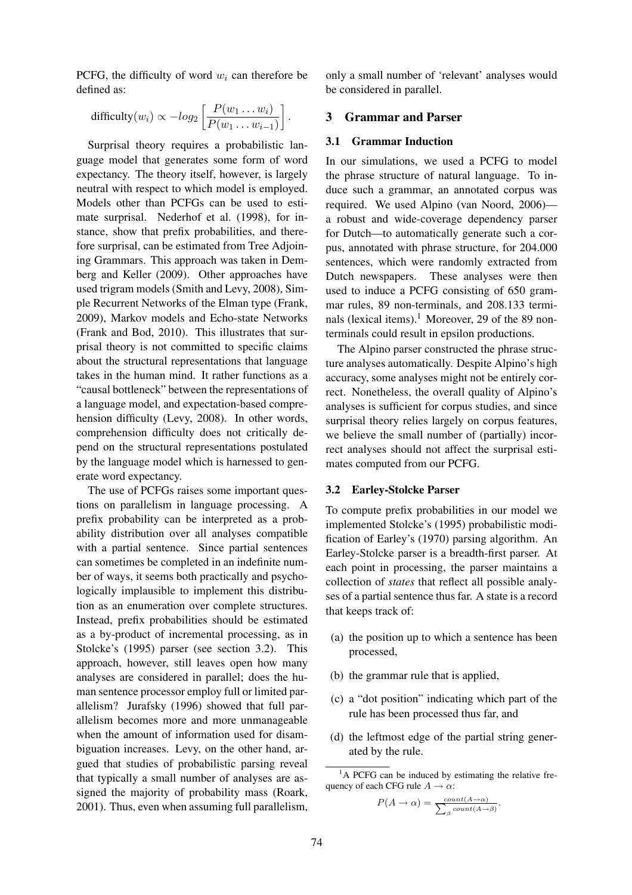PCFG, the difficulty of word  $w_i$  can therefore be defined as:

$$
\text{difficulty}(w_i) \propto -log_2\left[\frac{P(w_1 \dots w_i)}{P(w_1 \dots w_{i-1})}\right].
$$

Surprisal theory requires a probabilistic language model that generates some form of word expectancy. The theory itself, however, is largely neutral with respect to which model is employed. Models other than PCFGs can be used to estimate surprisal. Nederhof et al. (1998), for instance, show that prefix probabilities, and therefore surprisal, can be estimated from Tree Adjoining Grammars. This approach was taken in Demberg and Keller (2009). Other approaches have used trigram models (Smith and Levy, 2008), Simple Recurrent Networks of the Elman type (Frank, 2009), Markov models and Echo-state Networks (Frank and Bod, 2010). This illustrates that surprisal theory is not committed to specific claims about the structural representations that language takes in the human mind. It rather functions as a "causal bottleneck" between the representations of a language model, and expectation-based comprehension difficulty (Levy, 2008). In other words, comprehension difficulty does not critically depend on the structural representations postulated by the language model which is harnessed to generate word expectancy.

The use of PCFGs raises some important questions on parallelism in language processing. A prefix probability can be interpreted as a probability distribution over all analyses compatible with a partial sentence. Since partial sentences can sometimes be completed in an indefinite number of ways, it seems both practically and psychologically implausible to implement this distribution as an enumeration over complete structures. Instead, prefix probabilities should be estimated as a by-product of incremental processing, as in Stolcke's (1995) parser (see section 3.2). This approach, however, still leaves open how many analyses are considered in parallel; does the human sentence processor employ full or limited parallelism? Jurafsky (1996) showed that full parallelism becomes more and more unmanageable when the amount of information used for disambiguation increases. Levy, on the other hand, argued that studies of probabilistic parsing reveal that typically a small number of analyses are assigned the majority of probability mass (Roark, 2001). Thus, even when assuming full parallelism,

only a small number of 'relevant' analyses would be considered in parallel.

# 3 Grammar and Parser

#### 3.1 Grammar Induction

In our simulations, we used a PCFG to model the phrase structure of natural language. To induce such a grammar, an annotated corpus was required. We used Alpino (van Noord, 2006) a robust and wide-coverage dependency parser for Dutch—to automatically generate such a corpus, annotated with phrase structure, for 204.000 sentences, which were randomly extracted from Dutch newspapers. These analyses were then used to induce a PCFG consisting of 650 grammar rules, 89 non-terminals, and 208.133 terminals (lexical items).<sup>1</sup> Moreover, 29 of the 89 nonterminals could result in epsilon productions.

The Alpino parser constructed the phrase structure analyses automatically. Despite Alpino's high accuracy, some analyses might not be entirely correct. Nonetheless, the overall quality of Alpino's analyses is sufficient for corpus studies, and since surprisal theory relies largely on corpus features, we believe the small number of (partially) incorrect analyses should not affect the surprisal estimates computed from our PCFG.

#### 3.2 Earley-Stolcke Parser

To compute prefix probabilities in our model we implemented Stolcke's (1995) probabilistic modification of Earley's (1970) parsing algorithm. An Earley-Stolcke parser is a breadth-first parser. At each point in processing, the parser maintains a collection of *states* that reflect all possible analyses of a partial sentence thus far. A state is a record that keeps track of:

- (a) the position up to which a sentence has been processed,
- (b) the grammar rule that is applied,
- (c) a "dot position" indicating which part of the rule has been processed thus far, and
- (d) the leftmost edge of the partial string generated by the rule.

$$
P(A \to \alpha) = \frac{count(A \to \alpha)}{\sum_{\beta} count(A \to \beta)}.
$$

<sup>&</sup>lt;sup>1</sup>A PCFG can be induced by estimating the relative frequency of each CFG rule  $A \rightarrow \alpha$ :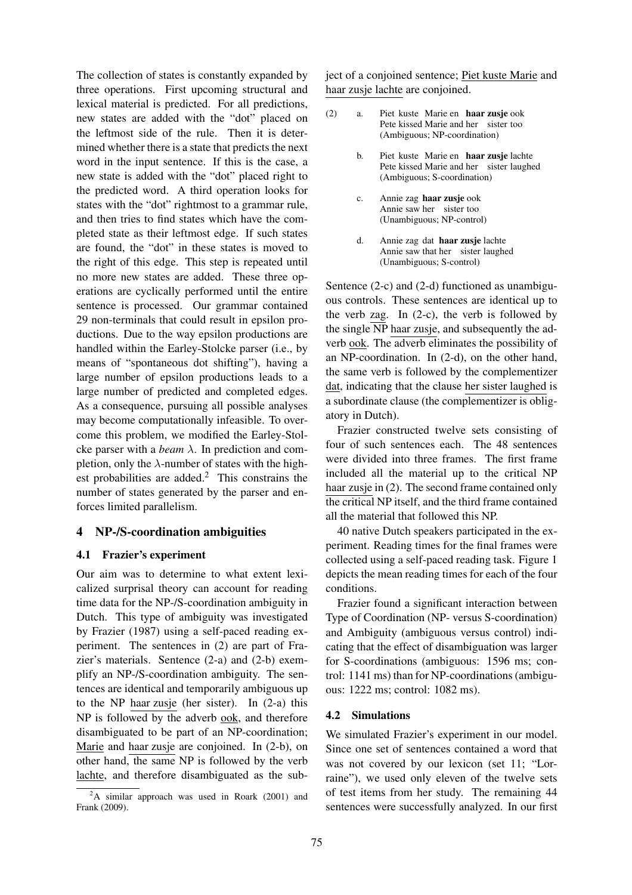The collection of states is constantly expanded by three operations. First upcoming structural and lexical material is predicted. For all predictions, new states are added with the "dot" placed on the leftmost side of the rule. Then it is determined whether there is a state that predicts the next word in the input sentence. If this is the case, a new state is added with the "dot" placed right to the predicted word. A third operation looks for states with the "dot" rightmost to a grammar rule, and then tries to find states which have the completed state as their leftmost edge. If such states are found, the "dot" in these states is moved to the right of this edge. This step is repeated until no more new states are added. These three operations are cyclically performed until the entire sentence is processed. Our grammar contained 29 non-terminals that could result in epsilon productions. Due to the way epsilon productions are handled within the Earley-Stolcke parser (i.e., by means of "spontaneous dot shifting"), having a large number of epsilon productions leads to a large number of predicted and completed edges. As a consequence, pursuing all possible analyses may become computationally infeasible. To overcome this problem, we modified the Earley-Stolcke parser with a *beam* λ. In prediction and completion, only the  $\lambda$ -number of states with the highest probabilities are added.<sup>2</sup> This constrains the number of states generated by the parser and enforces limited parallelism.

# 4 NP-/S-coordination ambiguities

#### 4.1 Frazier's experiment

Our aim was to determine to what extent lexicalized surprisal theory can account for reading time data for the NP-/S-coordination ambiguity in Dutch. This type of ambiguity was investigated by Frazier (1987) using a self-paced reading experiment. The sentences in (2) are part of Frazier's materials. Sentence (2-a) and (2-b) exemplify an NP-/S-coordination ambiguity. The sentences are identical and temporarily ambiguous up to the NP haar zusje (her sister). In (2-a) this NP is followed by the adverb ook, and therefore disambiguated to be part of an NP-coordination; Marie and haar zusje are conjoined. In (2-b), on other hand, the same NP is followed by the verb lachte, and therefore disambiguated as the subject of a conjoined sentence; Piet kuste Marie and haar zusje lachte are conjoined.

- (2) a. Piet kuste Marie en haar zusje ook Pete kissed Marie and her sister too (Ambiguous; NP-coordination)
	- b. Piet kuste Marie en haar zusje lachte Pete kissed Marie and her sister laughed (Ambiguous; S-coordination)
	- c. Annie zag haar zusje ook Annie saw her sister too (Unambiguous; NP-control)
	- d. Annie zag dat haar zusje lachte Annie saw that her sister laughed (Unambiguous; S-control)

Sentence (2-c) and (2-d) functioned as unambiguous controls. These sentences are identical up to the verb zag. In  $(2-c)$ , the verb is followed by the single NP haar zusje, and subsequently the adverb ook. The adverb eliminates the possibility of an NP-coordination. In (2-d), on the other hand, the same verb is followed by the complementizer dat, indicating that the clause her sister laughed is a subordinate clause (the complementizer is obligatory in Dutch).

Frazier constructed twelve sets consisting of four of such sentences each. The 48 sentences were divided into three frames. The first frame included all the material up to the critical NP haar zusje in (2). The second frame contained only the critical NP itself, and the third frame contained all the material that followed this NP.

40 native Dutch speakers participated in the experiment. Reading times for the final frames were collected using a self-paced reading task. Figure 1 depicts the mean reading times for each of the four conditions.

Frazier found a significant interaction between Type of Coordination (NP- versus S-coordination) and Ambiguity (ambiguous versus control) indicating that the effect of disambiguation was larger for S-coordinations (ambiguous: 1596 ms; control: 1141 ms) than for NP-coordinations(ambiguous: 1222 ms; control: 1082 ms).

#### 4.2 Simulations

We simulated Frazier's experiment in our model. Since one set of sentences contained a word that was not covered by our lexicon (set 11; "Lorraine"), we used only eleven of the twelve sets of test items from her study. The remaining 44 sentences were successfully analyzed. In our first

 ${}^{2}$ A similar approach was used in Roark (2001) and Frank (2009).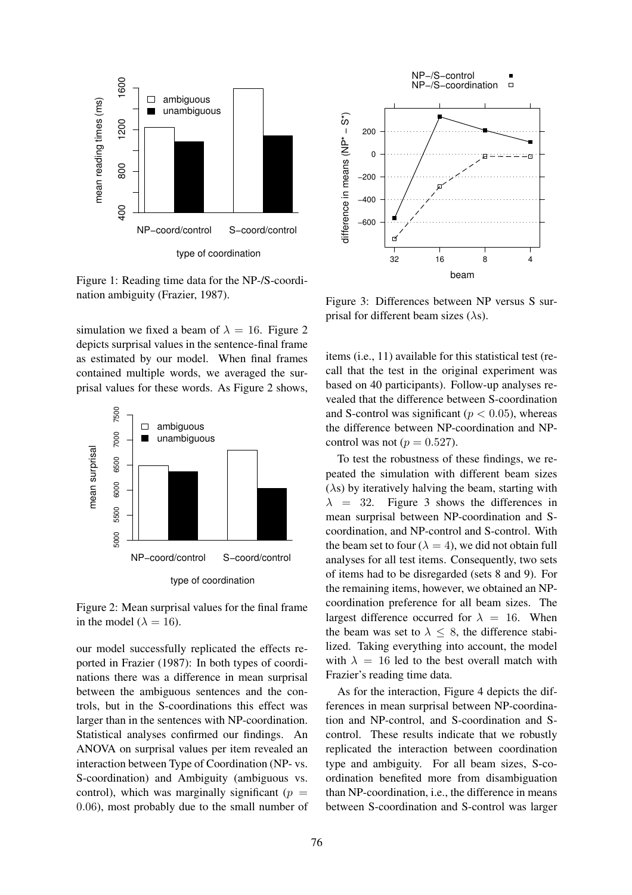

Figure 1: Reading time data for the NP-/S-coordination ambiguity (Frazier, 1987).

simulation we fixed a beam of  $\lambda = 16$ . Figure 2 depicts surprisal values in the sentence-final frame as estimated by our model. When final frames contained multiple words, we averaged the surprisal values for these words. As Figure 2 shows,



Figure 2: Mean surprisal values for the final frame in the model ( $\lambda = 16$ ).

our model successfully replicated the effects reported in Frazier (1987): In both types of coordinations there was a difference in mean surprisal between the ambiguous sentences and the controls, but in the S-coordinations this effect was larger than in the sentences with NP-coordination. Statistical analyses confirmed our findings. An ANOVA on surprisal values per item revealed an interaction between Type of Coordination (NP- vs. S-coordination) and Ambiguity (ambiguous vs. control), which was marginally significant ( $p =$ 0.06), most probably due to the small number of



Figure 3: Differences between NP versus S surprisal for different beam sizes  $(\lambda s)$ .

items (i.e., 11) available for this statistical test (recall that the test in the original experiment was based on 40 participants). Follow-up analyses revealed that the difference between S-coordination and S-control was significant ( $p < 0.05$ ), whereas the difference between NP-coordination and NPcontrol was not ( $p = 0.527$ ).

To test the robustness of these findings, we repeated the simulation with different beam sizes  $(\lambda s)$  by iteratively halving the beam, starting with  $\lambda$  = 32. Figure 3 shows the differences in mean surprisal between NP-coordination and Scoordination, and NP-control and S-control. With the beam set to four ( $\lambda = 4$ ), we did not obtain full analyses for all test items. Consequently, two sets of items had to be disregarded (sets 8 and 9). For the remaining items, however, we obtained an NPcoordination preference for all beam sizes. The largest difference occurred for  $\lambda = 16$ . When the beam was set to  $\lambda \leq 8$ , the difference stabilized. Taking everything into account, the model with  $\lambda = 16$  led to the best overall match with Frazier's reading time data.

As for the interaction, Figure 4 depicts the differences in mean surprisal between NP-coordination and NP-control, and S-coordination and Scontrol. These results indicate that we robustly replicated the interaction between coordination type and ambiguity. For all beam sizes, S-coordination benefited more from disambiguation than NP-coordination, i.e., the difference in means between S-coordination and S-control was larger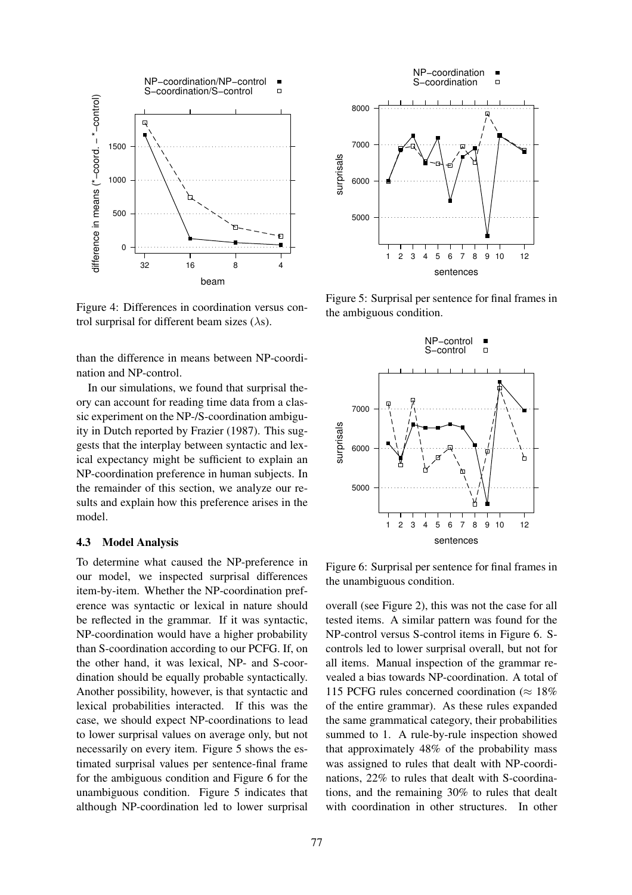

Figure 4: Differences in coordination versus control surprisal for different beam sizes  $(\lambda s)$ .

than the difference in means between NP-coordination and NP-control.

In our simulations, we found that surprisal theory can account for reading time data from a classic experiment on the NP-/S-coordination ambiguity in Dutch reported by Frazier (1987). This suggests that the interplay between syntactic and lexical expectancy might be sufficient to explain an NP-coordination preference in human subjects. In the remainder of this section, we analyze our results and explain how this preference arises in the model.

#### 4.3 Model Analysis

To determine what caused the NP-preference in our model, we inspected surprisal differences item-by-item. Whether the NP-coordination preference was syntactic or lexical in nature should be reflected in the grammar. If it was syntactic, NP-coordination would have a higher probability than S-coordination according to our PCFG. If, on the other hand, it was lexical, NP- and S-coordination should be equally probable syntactically. Another possibility, however, is that syntactic and lexical probabilities interacted. If this was the case, we should expect NP-coordinations to lead to lower surprisal values on average only, but not necessarily on every item. Figure 5 shows the estimated surprisal values per sentence-final frame for the ambiguous condition and Figure 6 for the unambiguous condition. Figure 5 indicates that although NP-coordination led to lower surprisal



Figure 5: Surprisal per sentence for final frames in the ambiguous condition.



Figure 6: Surprisal per sentence for final frames in the unambiguous condition.

overall (see Figure 2), this was not the case for all tested items. A similar pattern was found for the NP-control versus S-control items in Figure 6. Scontrols led to lower surprisal overall, but not for all items. Manual inspection of the grammar revealed a bias towards NP-coordination. A total of 115 PCFG rules concerned coordination ( $\approx 18\%$ ) of the entire grammar). As these rules expanded the same grammatical category, their probabilities summed to 1. A rule-by-rule inspection showed that approximately 48% of the probability mass was assigned to rules that dealt with NP-coordinations, 22% to rules that dealt with S-coordinations, and the remaining 30% to rules that dealt with coordination in other structures. In other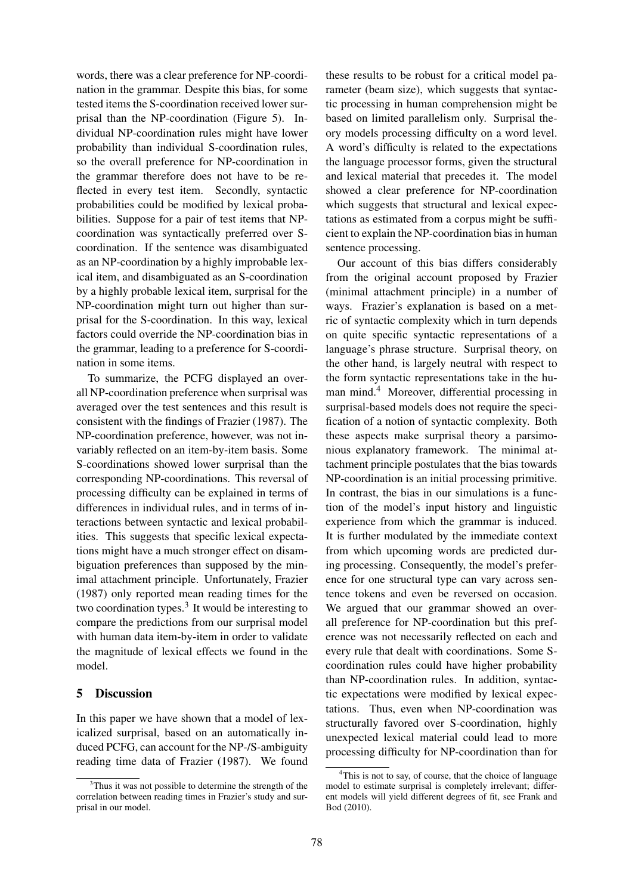words, there was a clear preference for NP-coordination in the grammar. Despite this bias, for some tested items the S-coordination received lower surprisal than the NP-coordination (Figure 5). Individual NP-coordination rules might have lower probability than individual S-coordination rules, so the overall preference for NP-coordination in the grammar therefore does not have to be reflected in every test item. Secondly, syntactic probabilities could be modified by lexical probabilities. Suppose for a pair of test items that NPcoordination was syntactically preferred over Scoordination. If the sentence was disambiguated as an NP-coordination by a highly improbable lexical item, and disambiguated as an S-coordination by a highly probable lexical item, surprisal for the NP-coordination might turn out higher than surprisal for the S-coordination. In this way, lexical factors could override the NP-coordination bias in the grammar, leading to a preference for S-coordination in some items.

To summarize, the PCFG displayed an overall NP-coordination preference when surprisal was averaged over the test sentences and this result is consistent with the findings of Frazier (1987). The NP-coordination preference, however, was not invariably reflected on an item-by-item basis. Some S-coordinations showed lower surprisal than the corresponding NP-coordinations. This reversal of processing difficulty can be explained in terms of differences in individual rules, and in terms of interactions between syntactic and lexical probabilities. This suggests that specific lexical expectations might have a much stronger effect on disambiguation preferences than supposed by the minimal attachment principle. Unfortunately, Frazier (1987) only reported mean reading times for the two coordination types.<sup>3</sup> It would be interesting to compare the predictions from our surprisal model with human data item-by-item in order to validate the magnitude of lexical effects we found in the model.

# 5 Discussion

In this paper we have shown that a model of lexicalized surprisal, based on an automatically induced PCFG, can account for the NP-/S-ambiguity reading time data of Frazier (1987). We found these results to be robust for a critical model parameter (beam size), which suggests that syntactic processing in human comprehension might be based on limited parallelism only. Surprisal theory models processing difficulty on a word level. A word's difficulty is related to the expectations the language processor forms, given the structural and lexical material that precedes it. The model showed a clear preference for NP-coordination which suggests that structural and lexical expectations as estimated from a corpus might be sufficient to explain the NP-coordination bias in human sentence processing.

Our account of this bias differs considerably from the original account proposed by Frazier (minimal attachment principle) in a number of ways. Frazier's explanation is based on a metric of syntactic complexity which in turn depends on quite specific syntactic representations of a language's phrase structure. Surprisal theory, on the other hand, is largely neutral with respect to the form syntactic representations take in the human mind.<sup>4</sup> Moreover, differential processing in surprisal-based models does not require the specification of a notion of syntactic complexity. Both these aspects make surprisal theory a parsimonious explanatory framework. The minimal attachment principle postulates that the bias towards NP-coordination is an initial processing primitive. In contrast, the bias in our simulations is a function of the model's input history and linguistic experience from which the grammar is induced. It is further modulated by the immediate context from which upcoming words are predicted during processing. Consequently, the model's preference for one structural type can vary across sentence tokens and even be reversed on occasion. We argued that our grammar showed an overall preference for NP-coordination but this preference was not necessarily reflected on each and every rule that dealt with coordinations. Some Scoordination rules could have higher probability than NP-coordination rules. In addition, syntactic expectations were modified by lexical expectations. Thus, even when NP-coordination was structurally favored over S-coordination, highly unexpected lexical material could lead to more processing difficulty for NP-coordination than for

<sup>&</sup>lt;sup>3</sup>Thus it was not possible to determine the strength of the correlation between reading times in Frazier's study and surprisal in our model.

 $4$ This is not to say, of course, that the choice of language model to estimate surprisal is completely irrelevant; different models will yield different degrees of fit, see Frank and Bod (2010).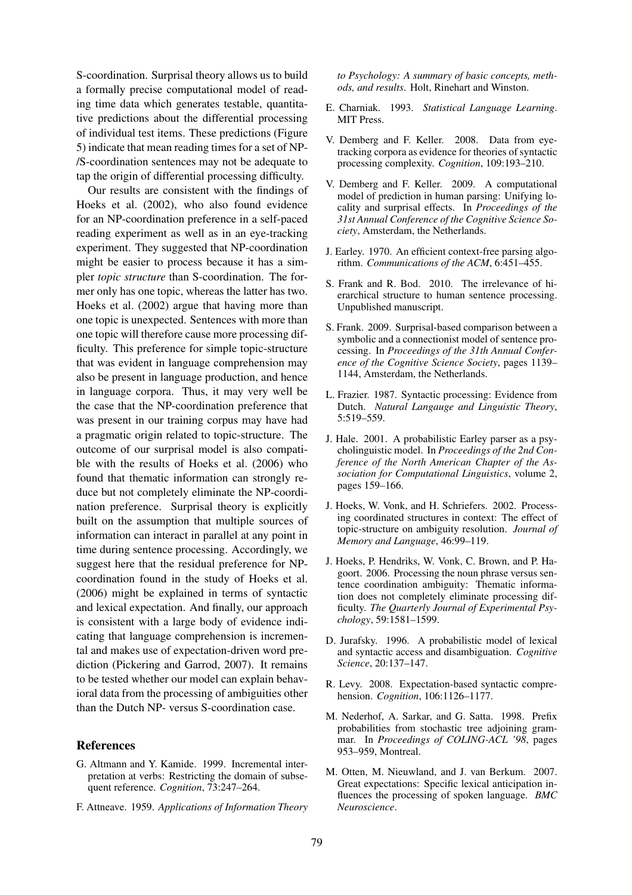S-coordination. Surprisal theory allows us to build a formally precise computational model of reading time data which generates testable, quantitative predictions about the differential processing of individual test items. These predictions (Figure 5) indicate that mean reading times for a set of NP- /S-coordination sentences may not be adequate to tap the origin of differential processing difficulty.

Our results are consistent with the findings of Hoeks et al. (2002), who also found evidence for an NP-coordination preference in a self-paced reading experiment as well as in an eye-tracking experiment. They suggested that NP-coordination might be easier to process because it has a simpler *topic structure* than S-coordination. The former only has one topic, whereas the latter has two. Hoeks et al. (2002) argue that having more than one topic is unexpected. Sentences with more than one topic will therefore cause more processing difficulty. This preference for simple topic-structure that was evident in language comprehension may also be present in language production, and hence in language corpora. Thus, it may very well be the case that the NP-coordination preference that was present in our training corpus may have had a pragmatic origin related to topic-structure. The outcome of our surprisal model is also compatible with the results of Hoeks et al. (2006) who found that thematic information can strongly reduce but not completely eliminate the NP-coordination preference. Surprisal theory is explicitly built on the assumption that multiple sources of information can interact in parallel at any point in time during sentence processing. Accordingly, we suggest here that the residual preference for NPcoordination found in the study of Hoeks et al. (2006) might be explained in terms of syntactic and lexical expectation. And finally, our approach is consistent with a large body of evidence indicating that language comprehension is incremental and makes use of expectation-driven word prediction (Pickering and Garrod, 2007). It remains to be tested whether our model can explain behavioral data from the processing of ambiguities other than the Dutch NP- versus S-coordination case.

#### References

- G. Altmann and Y. Kamide. 1999. Incremental interpretation at verbs: Restricting the domain of subsequent reference. *Cognition*, 73:247–264.
- F. Attneave. 1959. *Applications of Information Theory*

*to Psychology: A summary of basic concepts, methods, and results*. Holt, Rinehart and Winston.

- E. Charniak. 1993. *Statistical Language Learning*. MIT Press.
- V. Demberg and F. Keller. 2008. Data from eyetracking corpora as evidence for theories of syntactic processing complexity. *Cognition*, 109:193–210.
- V. Demberg and F. Keller. 2009. A computational model of prediction in human parsing: Unifying locality and surprisal effects. In *Proceedings of the 31st Annual Conference of the Cognitive Science Society*, Amsterdam, the Netherlands.
- J. Earley. 1970. An efficient context-free parsing algorithm. *Communications of the ACM*, 6:451–455.
- S. Frank and R. Bod. 2010. The irrelevance of hierarchical structure to human sentence processing. Unpublished manuscript.
- S. Frank. 2009. Surprisal-based comparison between a symbolic and a connectionist model of sentence processing. In *Proceedings of the 31th Annual Conference of the Cognitive Science Society*, pages 1139– 1144, Amsterdam, the Netherlands.
- L. Frazier. 1987. Syntactic processing: Evidence from Dutch. *Natural Langauge and Linguistic Theory*, 5:519–559.
- J. Hale. 2001. A probabilistic Earley parser as a psycholinguistic model. In *Proceedings of the 2nd Conference of the North American Chapter of the Association for Computational Linguistics*, volume 2, pages 159–166.
- J. Hoeks, W. Vonk, and H. Schriefers. 2002. Processing coordinated structures in context: The effect of topic-structure on ambiguity resolution. *Journal of Memory and Language*, 46:99–119.
- J. Hoeks, P. Hendriks, W. Vonk, C. Brown, and P. Hagoort. 2006. Processing the noun phrase versus sentence coordination ambiguity: Thematic information does not completely eliminate processing difficulty. *The Quarterly Journal of Experimental Psychology*, 59:1581–1599.
- D. Jurafsky. 1996. A probabilistic model of lexical and syntactic access and disambiguation. *Cognitive Science*, 20:137–147.
- R. Levy. 2008. Expectation-based syntactic comprehension. *Cognition*, 106:1126–1177.
- M. Nederhof, A. Sarkar, and G. Satta. 1998. Prefix probabilities from stochastic tree adjoining grammar. In *Proceedings of COLING-ACL '98*, pages 953–959, Montreal.
- M. Otten, M. Nieuwland, and J. van Berkum. 2007. Great expectations: Specific lexical anticipation influences the processing of spoken language. *BMC Neuroscience*.